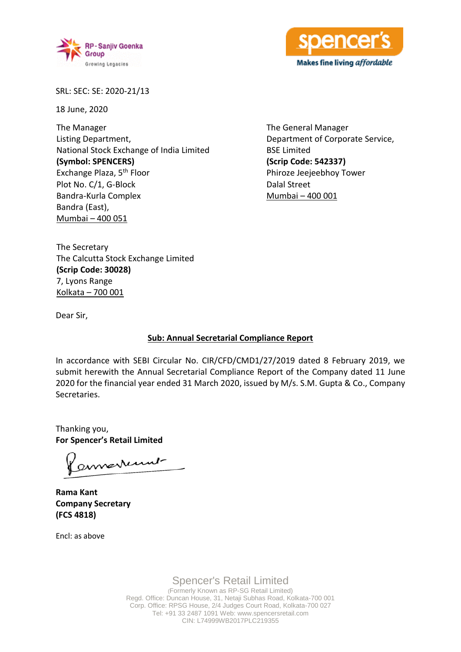



SRL: SEC: SE: 2020-21/13

18 June, 2020

The Manager Listing Department, National Stock Exchange of India Limited **(Symbol: SPENCERS)** Exchange Plaza, 5th Floor Plot No. C/1, G-Block Bandra-Kurla Complex Bandra (East), Mumbai – 400 051

The General Manager Department of Corporate Service, BSE Limited **(Scrip Code: 542337)** Phiroze Jeejeebhoy Tower Dalal Street Mumbai – 400 001

The Secretary The Calcutta Stock Exchange Limited **(Scrip Code: 30028)** 7, Lyons Range Kolkata – 700 001

Dear Sir,

### **Sub: Annual Secretarial Compliance Report**

In accordance with SEBI Circular No. CIR/CFD/CMD1/27/2019 dated 8 February 2019, we submit herewith the Annual Secretarial Compliance Report of the Company dated 11 June 2020 for the financial year ended 31 March 2020, issued by M/s. S.M. Gupta & Co., Company Secretaries.

Thanking you, **For Spencer's Retail Limited**

enverturent

**Rama Kant Company Secretary (FCS 4818)**

Encl: as above

Spencer's Retail Limited (Formerly Known as RP-SG Retail Limited) Regd. Office: Duncan House, 31, Netaji Subhas Road, Kolkata-700 001 Corp. Office: RPSG House, 2/4 Judges Court Road, Kolkata-700 027 Tel: +91 33 2487 1091 Web: www.spencersretail.com CIN: L74999WB2017PLC219355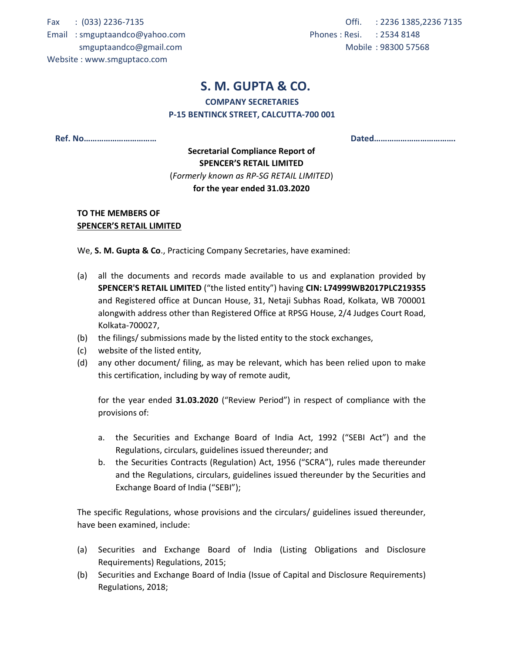Fax : (033) 2236-7135

Email : smguptaandco@yahoo.com smguptaandco@gmail.com

Offi. : 2236 1385,2236 7135 Phones : Resi. : 2534 8148 Mobile : 98300 57568

### Website : www.smguptaco.com

### S. M. GUPTA & CO.

### COMPANY SECRETARIES

### P-15 BENTINCK STREET, CALCUTTA-700 001

Ref. No…………………………… Dated……………………………….

### Secretarial Compliance Report of SPENCER'S RETAIL LIMITED (Formerly known as RP-SG RETAIL LIMITED) for the year ended 31.03.2020

### TO THE MEMBERS OF SPENCER'S RETAIL LIMITED

We, **S. M. Gupta & Co.**, Practicing Company Secretaries, have examined:

- (a) all the documents and records made available to us and explanation provided by SPENCER'S RETAIL LIMITED ("the listed entity") having CIN: L74999WB2017PLC219355 and Registered office at Duncan House, 31, Netaji Subhas Road, Kolkata, WB 700001 alongwith address other than Registered Office at RPSG House, 2/4 Judges Court Road, Kolkata-700027,
- (b) the filings/ submissions made by the listed entity to the stock exchanges,
- (c) website of the listed entity,
- (d) any other document/ filing, as may be relevant, which has been relied upon to make this certification, including by way of remote audit,

for the year ended 31.03.2020 ("Review Period") in respect of compliance with the provisions of:

- a. the Securities and Exchange Board of India Act, 1992 ("SEBI Act") and the Regulations, circulars, guidelines issued thereunder; and
- b. the Securities Contracts (Regulation) Act, 1956 ("SCRA"), rules made thereunder and the Regulations, circulars, guidelines issued thereunder by the Securities and Exchange Board of India ("SEBI");

The specific Regulations, whose provisions and the circulars/ guidelines issued thereunder, have been examined, include:

- (a) Securities and Exchange Board of India (Listing Obligations and Disclosure Requirements) Regulations, 2015;
- (b) Securities and Exchange Board of India (Issue of Capital and Disclosure Requirements) Regulations, 2018;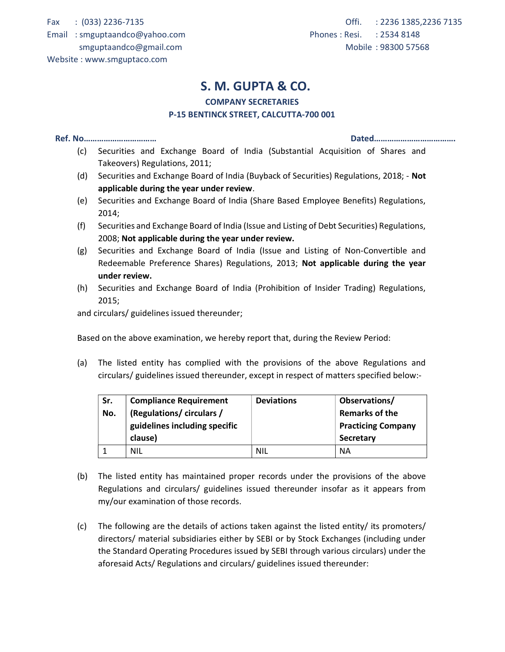Fax : (033) 2236-7135

Email : smguptaandco@yahoo.com smguptaandco@gmail.com

Website : www.smguptaco.com

## S. M. GUPTA & CO.

### COMPANY SECRETARIES

### P-15 BENTINCK STREET, CALCUTTA-700 001

#### Ref. No…………………………… Dated……………………………….

- (c) Securities and Exchange Board of India (Substantial Acquisition of Shares and Takeovers) Regulations, 2011;
- (d) Securities and Exchange Board of India (Buyback of Securities) Regulations, 2018; Not applicable during the year under review.
- (e) Securities and Exchange Board of India (Share Based Employee Benefits) Regulations, 2014;
- (f) Securities and Exchange Board of India (Issue and Listing of Debt Securities) Regulations, 2008; Not applicable during the year under review.
- (g) Securities and Exchange Board of India (Issue and Listing of Non-Convertible and Redeemable Preference Shares) Regulations, 2013; Not applicable during the year under review.
- (h) Securities and Exchange Board of India (Prohibition of Insider Trading) Regulations, 2015;

and circulars/ guidelines issued thereunder;

Based on the above examination, we hereby report that, during the Review Period:

(a) The listed entity has complied with the provisions of the above Regulations and circulars/ guidelines issued thereunder, except in respect of matters specified below:-

| Sr. | <b>Compliance Requirement</b> | <b>Deviations</b> | Observations/             |
|-----|-------------------------------|-------------------|---------------------------|
| No. | (Regulations/circulars/       |                   | <b>Remarks of the</b>     |
|     | guidelines including specific |                   | <b>Practicing Company</b> |
|     | clause)                       |                   | Secretary                 |
|     | NIL                           | <b>NIL</b>        | <b>NA</b>                 |

- (b) The listed entity has maintained proper records under the provisions of the above Regulations and circulars/ guidelines issued thereunder insofar as it appears from my/our examination of those records.
- (c) The following are the details of actions taken against the listed entity/ its promoters/ directors/ material subsidiaries either by SEBI or by Stock Exchanges (including under the Standard Operating Procedures issued by SEBI through various circulars) under the aforesaid Acts/ Regulations and circulars/ guidelines issued thereunder: